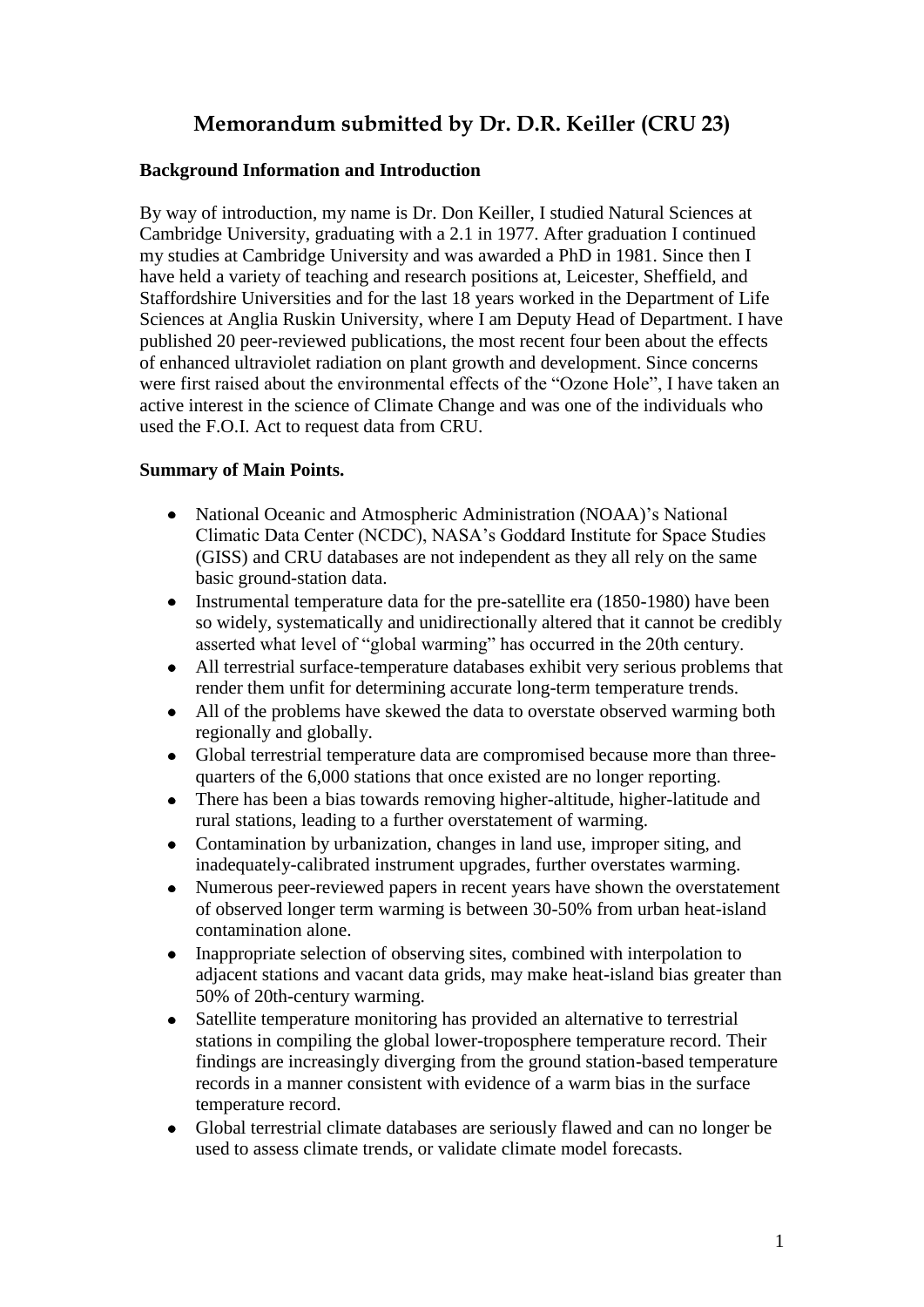# **Memorandum submitted by Dr. D.R. Keiller (CRU 23)**

## **Background Information and Introduction**

By way of introduction, my name is Dr. Don Keiller, I studied Natural Sciences at Cambridge University, graduating with a 2.1 in 1977. After graduation I continued my studies at Cambridge University and was awarded a PhD in 1981. Since then I have held a variety of teaching and research positions at, Leicester, Sheffield, and Staffordshire Universities and for the last 18 years worked in the Department of Life Sciences at Anglia Ruskin University, where I am Deputy Head of Department. I have published 20 peer-reviewed publications, the most recent four been about the effects of enhanced ultraviolet radiation on plant growth and development. Since concerns were first raised about the environmental effects of the "Ozone Hole", I have taken an active interest in the science of Climate Change and was one of the individuals who used the F.O.I. Act to request data from CRU.

## **Summary of Main Points.**

- National Oceanic and Atmospheric Administration (NOAA)'s National  $\bullet$ Climatic Data Center (NCDC), NASA's Goddard Institute for Space Studies (GISS) and CRU databases are not independent as they all rely on the same basic ground-station data.
- $\bullet$ Instrumental temperature data for the pre-satellite era (1850-1980) have been so widely, systematically and unidirectionally altered that it cannot be credibly asserted what level of "global warming" has occurred in the 20th century.
- All terrestrial surface-temperature databases exhibit very serious problems that  $\bullet$ render them unfit for determining accurate long-term temperature trends.
- All of the problems have skewed the data to overstate observed warming both regionally and globally.
- $\bullet$ Global terrestrial temperature data are compromised because more than threequarters of the 6,000 stations that once existed are no longer reporting.
- There has been a bias towards removing higher-altitude, higher-latitude and  $\bullet$ rural stations, leading to a further overstatement of warming.
- Contamination by urbanization, changes in land use, improper siting, and  $\bullet$ inadequately-calibrated instrument upgrades, further overstates warming.
- Numerous peer-reviewed papers in recent years have shown the overstatement  $\bullet$ of observed longer term warming is between 30-50% from urban heat-island contamination alone.
- Inappropriate selection of observing sites, combined with interpolation to  $\bullet$ adjacent stations and vacant data grids, may make heat-island bias greater than 50% of 20th-century warming.
- Satellite temperature monitoring has provided an alternative to terrestrial  $\bullet$ stations in compiling the global lower-troposphere temperature record. Their findings are increasingly diverging from the ground station-based temperature records in a manner consistent with evidence of a warm bias in the surface temperature record.
- Global terrestrial climate databases are seriously flawed and can no longer be used to assess climate trends, or validate climate model forecasts.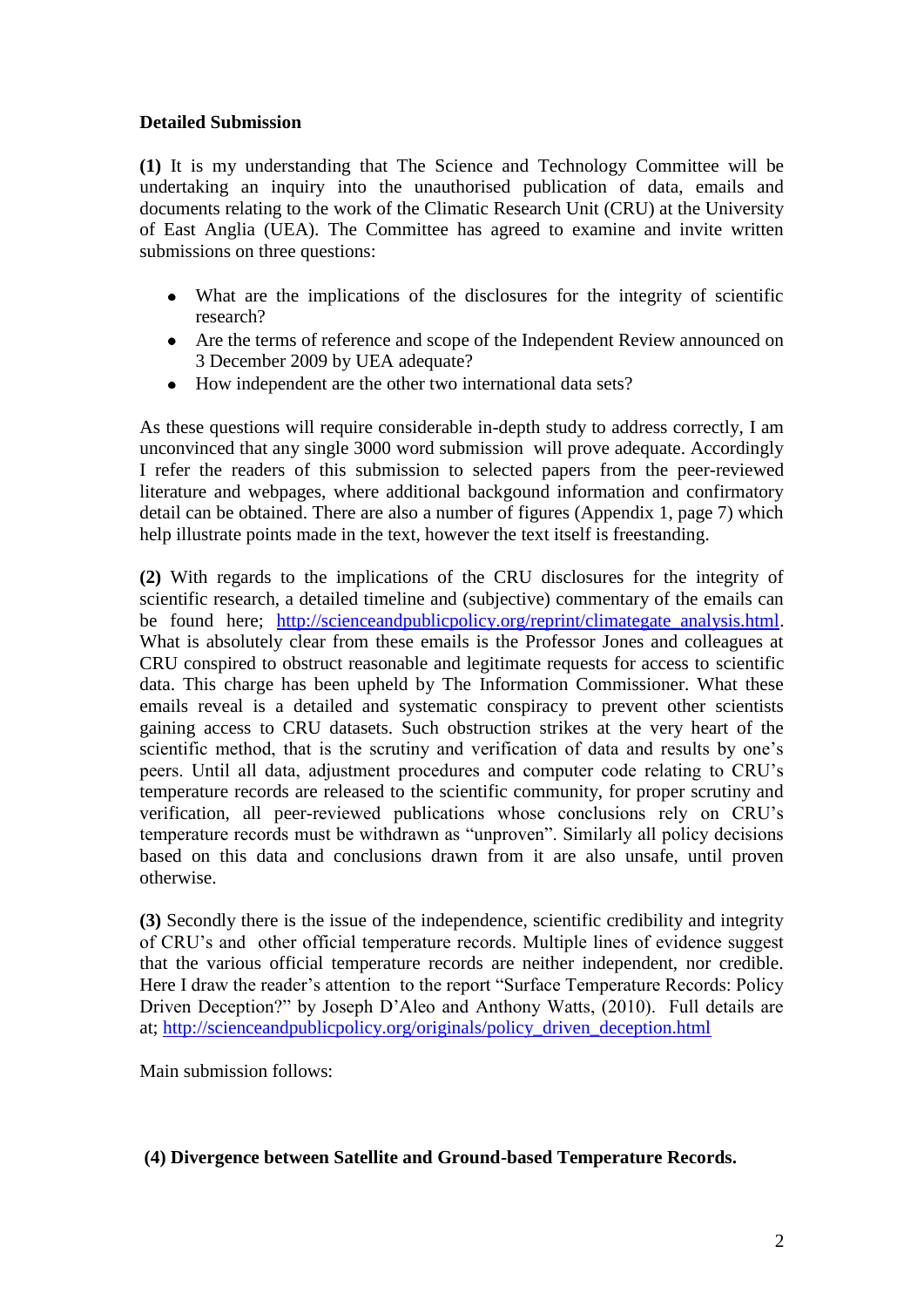## **Detailed Submission**

**(1)** It is my understanding that The Science and Technology Committee will be undertaking an inquiry into the unauthorised publication of data, emails and documents relating to the work of the Climatic Research Unit (CRU) at the University of East Anglia (UEA). The Committee has agreed to examine and invite written submissions on three questions:

- What are the implications of the disclosures for the integrity of scientific research?
- Are the terms of reference and scope of the Independent Review announced on 3 December 2009 by UEA adequate?
- $\bullet$ How independent are the other two international data sets?

As these questions will require considerable in-depth study to address correctly, I am unconvinced that any single 3000 word submission will prove adequate. Accordingly I refer the readers of this submission to selected papers from the peer-reviewed literature and webpages, where additional backgound information and confirmatory detail can be obtained. There are also a number of figures (Appendix 1, page 7) which help illustrate points made in the text, however the text itself is freestanding.

**(2)** With regards to the implications of the CRU disclosures for the integrity of scientific research, a detailed timeline and (subjective) commentary of the emails can be found here; [http://scienceandpublicpolicy.org/reprint/climategate\\_analysis.html.](http://scienceandpublicpolicy.org/reprint/climategate_analysis.html) What is absolutely clear from these emails is the Professor Jones and colleagues at CRU conspired to obstruct reasonable and legitimate requests for access to scientific data. This charge has been upheld by The Information Commissioner. What these emails reveal is a detailed and systematic conspiracy to prevent other scientists gaining access to CRU datasets. Such obstruction strikes at the very heart of the scientific method, that is the scrutiny and verification of data and results by one's peers. Until all data, adjustment procedures and computer code relating to CRU's temperature records are released to the scientific community, for proper scrutiny and verification, all peer-reviewed publications whose conclusions rely on CRU's temperature records must be withdrawn as "unproven". Similarly all policy decisions based on this data and conclusions drawn from it are also unsafe, until proven otherwise.

**(3)** Secondly there is the issue of the independence, scientific credibility and integrity of CRU's and other official temperature records. Multiple lines of evidence suggest that the various official temperature records are neither independent, nor credible. Here I draw the reader's attention to the report "Surface Temperature Records: Policy Driven Deception?" by Joseph D'Aleo and Anthony Watts, (2010). Full details are at; [http://scienceandpublicpolicy.org/originals/policy\\_driven\\_deception.html](http://scienceandpublicpolicy.org/originals/policy_driven_deception.html) 

Main submission follows:

## **(4) Divergence between Satellite and Ground-based Temperature Records.**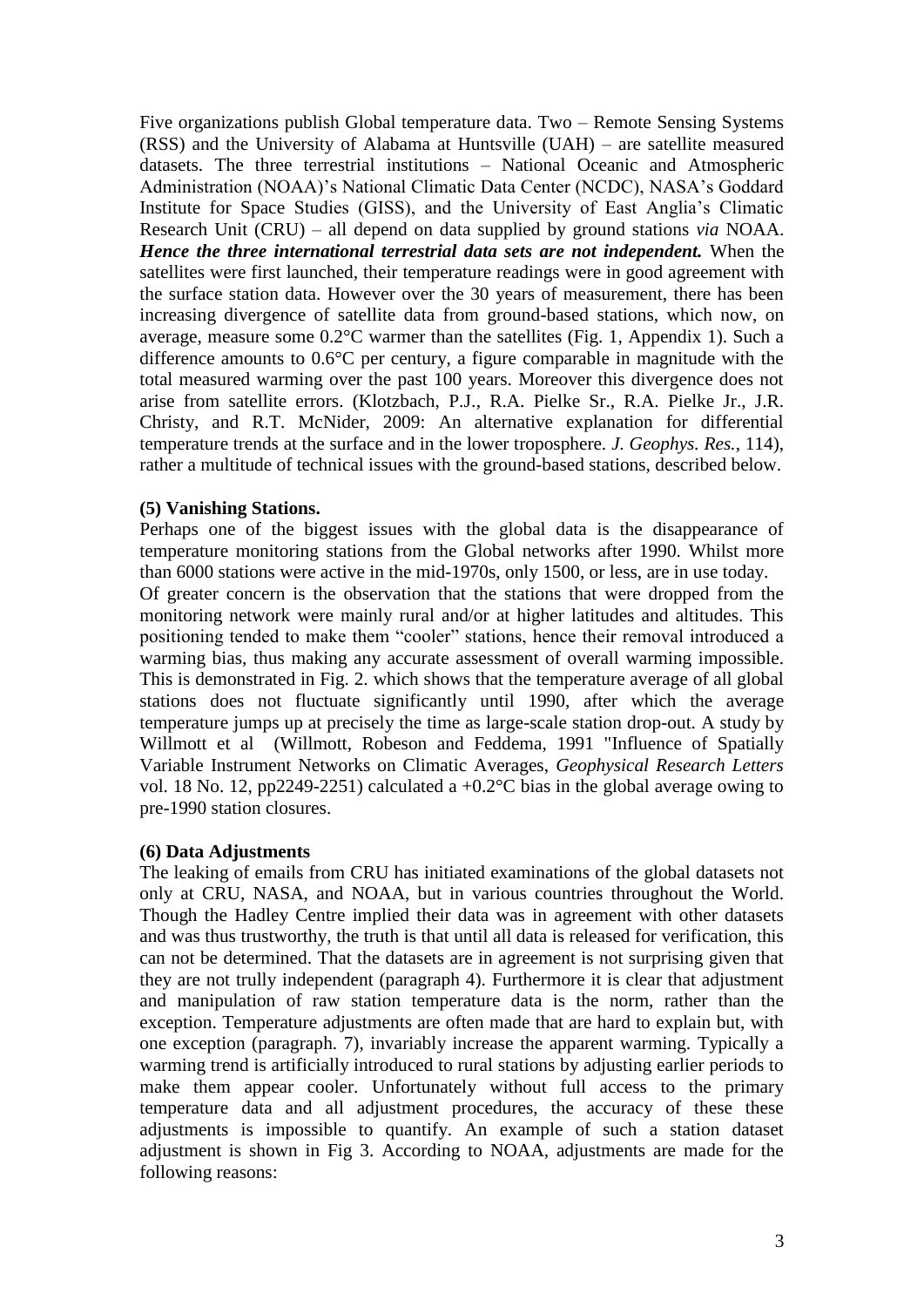Five organizations publish Global temperature data. Two – Remote Sensing Systems (RSS) and the University of Alabama at Huntsville (UAH) – are satellite measured datasets. The three terrestrial institutions – National Oceanic and Atmospheric Administration (NOAA)'s National Climatic Data Center (NCDC), NASA's Goddard Institute for Space Studies (GISS), and the University of East Anglia's Climatic Research Unit (CRU) – all depend on data supplied by ground stations *via* NOAA. *Hence the three international terrestrial data sets are not independent.* When the satellites were first launched, their temperature readings were in good agreement with the surface station data. However over the 30 years of measurement, there has been increasing divergence of satellite data from ground-based stations, which now, on average, measure some 0.2°C warmer than the satellites (Fig. 1, Appendix 1). Such a difference amounts to 0.6°C per century, a figure comparable in magnitude with the total measured warming over the past 100 years. Moreover this divergence does not arise from satellite errors. (Klotzbach, P.J., R.A. Pielke Sr., R.A. Pielke Jr., J.R. Christy, and R.T. McNider, 2009: An alternative explanation for differential temperature trends at the surface and in the lower troposphere. *J. Geophys. Res.*, 114), rather a multitude of technical issues with the ground-based stations, described below.

### **(5) Vanishing Stations.**

Perhaps one of the biggest issues with the global data is the disappearance of temperature monitoring stations from the Global networks after 1990. Whilst more than 6000 stations were active in the mid-1970s, only 1500, or less, are in use today. Of greater concern is the observation that the stations that were dropped from the monitoring network were mainly rural and/or at higher latitudes and altitudes. This positioning tended to make them "cooler" stations, hence their removal introduced a warming bias, thus making any accurate assessment of overall warming impossible. This is demonstrated in Fig. 2. which shows that the temperature average of all global stations does not fluctuate significantly until 1990, after which the average temperature jumps up at precisely the time as large-scale station drop-out. A study by Willmott et al (Willmott, Robeson and Feddema, 1991 "Influence of Spatially Variable Instrument Networks on Climatic Averages, *Geophysical Research Letters* vol. 18 No. 12, pp2249-2251) calculated a +0.2°C bias in the global average owing to pre-1990 station closures.

### **(6) Data Adjustments**

The leaking of emails from CRU has initiated examinations of the global datasets not only at CRU, NASA, and NOAA, but in various countries throughout the World. Though the Hadley Centre implied their data was in agreement with other datasets and was thus trustworthy, the truth is that until all data is released for verification, this can not be determined. That the datasets are in agreement is not surprising given that they are not trully independent (paragraph 4). Furthermore it is clear that adjustment and manipulation of raw station temperature data is the norm, rather than the exception. Temperature adjustments are often made that are hard to explain but, with one exception (paragraph. 7), invariably increase the apparent warming. Typically a warming trend is artificially introduced to rural stations by adjusting earlier periods to make them appear cooler. Unfortunately without full access to the primary temperature data and all adjustment procedures, the accuracy of these these adjustments is impossible to quantify. An example of such a station dataset adjustment is shown in Fig 3. According to NOAA, adjustments are made for the following reasons: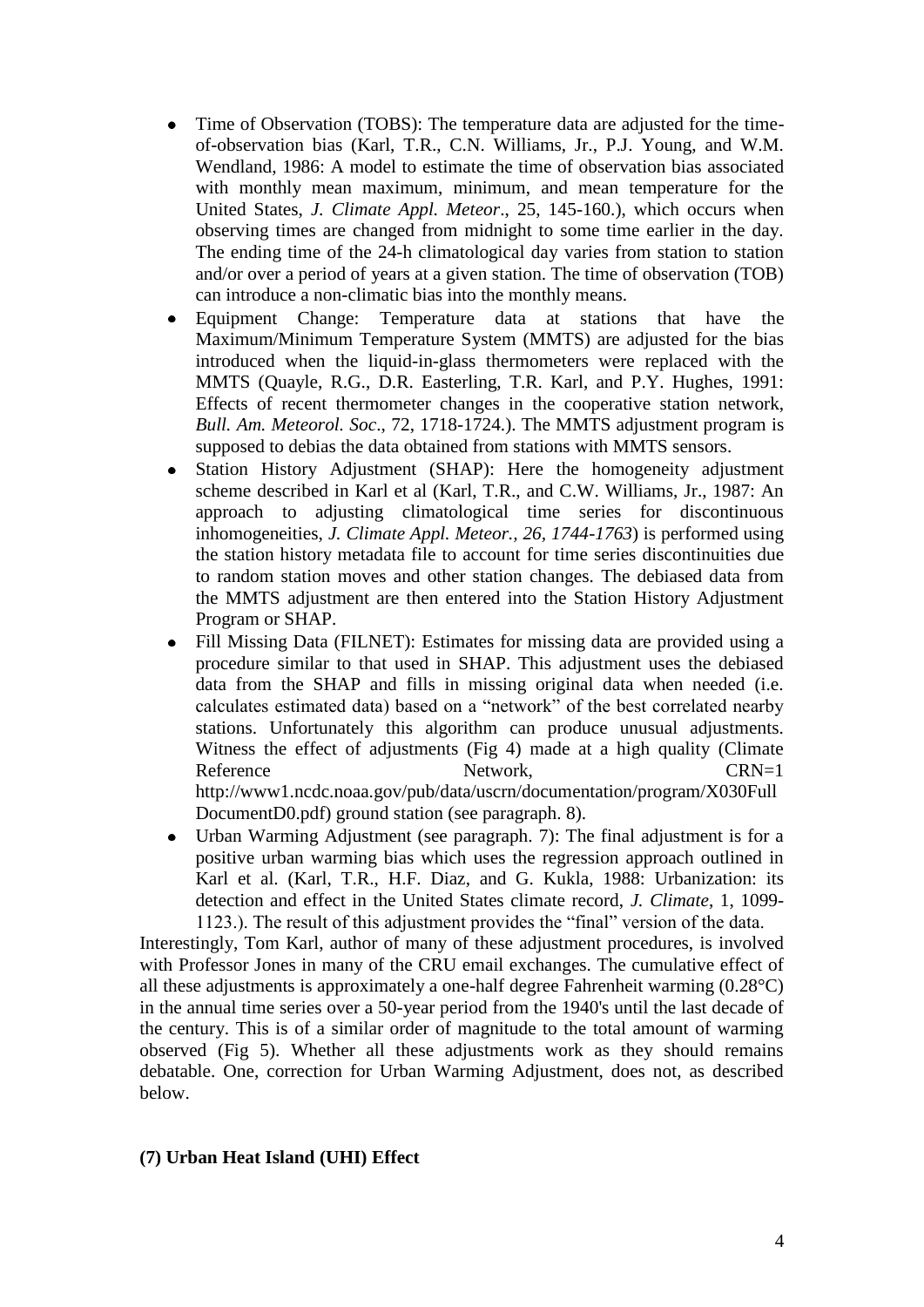- Time of Observation (TOBS): The temperature data are adjusted for the timeof-observation bias (Karl, T.R., C.N. Williams, Jr., P.J. Young, and W.M. Wendland, 1986: A model to estimate the time of observation bias associated with monthly mean maximum, minimum, and mean temperature for the United States, *J. Climate Appl. Meteor*., 25, 145-160.), which occurs when observing times are changed from midnight to some time earlier in the day. The ending time of the 24-h climatological day varies from station to station and/or over a period of years at a given station. The time of observation (TOB) can introduce a non-climatic bias into the monthly means.
- Equipment Change: Temperature data at stations that have the  $\bullet$ Maximum/Minimum Temperature System (MMTS) are adjusted for the bias introduced when the liquid-in-glass thermometers were replaced with the MMTS (Quayle, R.G., D.R. Easterling, T.R. Karl, and P.Y. Hughes, 1991: Effects of recent thermometer changes in the cooperative station network, *Bull. Am. Meteorol. Soc*., 72, 1718-1724.). The MMTS adjustment program is supposed to debias the data obtained from stations with MMTS sensors.
- Station History Adjustment (SHAP): Here the homogeneity adjustment scheme described in Karl et al (Karl, T.R., and C.W. Williams, Jr., 1987: An approach to adjusting climatological time series for discontinuous inhomogeneities, *J. Climate Appl. Meteor., 26, 1744-1763*) is performed using the station history metadata file to account for time series discontinuities due to random station moves and other station changes. The debiased data from the MMTS adjustment are then entered into the Station History Adjustment Program or SHAP.
- Fill Missing Data (FILNET): Estimates for missing data are provided using a procedure similar to that used in SHAP. This adjustment uses the debiased data from the SHAP and fills in missing original data when needed (i.e. calculates estimated data) based on a "network" of the best correlated nearby stations. Unfortunately this algorithm can produce unusual adjustments. Witness the effect of adjustments (Fig 4) made at a high quality (Climate Reference Network, CRN=1 http://www1.ncdc.noaa.gov/pub/data/uscrn/documentation/program/X030Full DocumentD0.pdf) ground station (see paragraph. 8).
- Urban Warming Adjustment (see paragraph. 7): The final adjustment is for a positive urban warming bias which uses the regression approach outlined in Karl et al. (Karl, T.R., H.F. Diaz, and G. Kukla, 1988: Urbanization: its detection and effect in the United States climate record, *J. Climate*, 1, 1099- 1123.). The result of this adjustment provides the "final" version of the data.

Interestingly, Tom Karl, author of many of these adjustment procedures, is involved with Professor Jones in many of the CRU email exchanges. The cumulative effect of all these adjustments is approximately a one-half degree Fahrenheit warming (0.28°C) in the annual time series over a 50-year period from the 1940's until the last decade of the century. This is of a similar order of magnitude to the total amount of warming observed (Fig 5). Whether all these adjustments work as they should remains debatable. One, correction for Urban Warming Adjustment, does not, as described below.

### **(7) Urban Heat Island (UHI) Effect**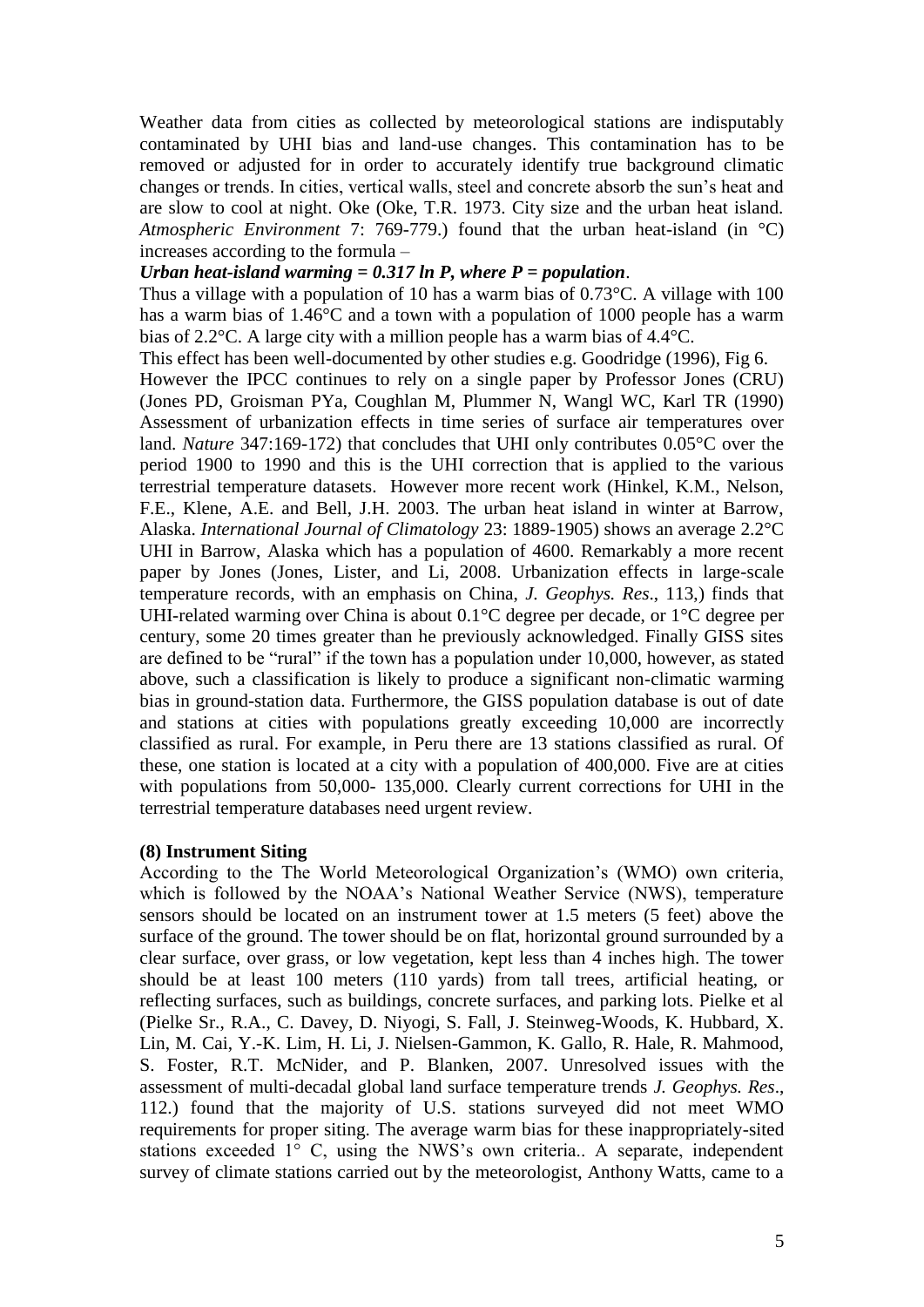Weather data from cities as collected by meteorological stations are indisputably contaminated by UHI bias and land-use changes. This contamination has to be removed or adjusted for in order to accurately identify true background climatic changes or trends. In cities, vertical walls, steel and concrete absorb the sun's heat and are slow to cool at night. Oke (Oke, T.R. 1973. City size and the urban heat island. *Atmospheric Environment* 7: 769-779.) found that the urban heat-island (in °C) increases according to the formula –

#### *Urban heat-island warming = 0.317 ln P, where P = population*.

Thus a village with a population of 10 has a warm bias of 0.73°C. A village with 100 has a warm bias of 1.46°C and a town with a population of 1000 people has a warm bias of 2.2°C. A large city with a million people has a warm bias of 4.4°C.

This effect has been well-documented by other studies e.g. Goodridge (1996), Fig 6.

However the IPCC continues to rely on a single paper by Professor Jones (CRU) (Jones PD, Groisman PYa, Coughlan M, Plummer N, Wangl WC, Karl TR (1990) Assessment of urbanization effects in time series of surface air temperatures over land. *Nature* 347:169-172) that concludes that UHI only contributes 0.05°C over the period 1900 to 1990 and this is the UHI correction that is applied to the various terrestrial temperature datasets. However more recent work (Hinkel, K.M., Nelson, F.E., Klene, A.E. and Bell, J.H. 2003. The urban heat island in winter at Barrow, Alaska. *International Journal of Climatology* 23: 1889-1905) shows an average 2.2°C UHI in Barrow, Alaska which has a population of 4600. Remarkably a more recent paper by Jones (Jones, Lister, and Li, 2008. Urbanization effects in large-scale temperature records, with an emphasis on China, *J. Geophys. Res*., 113,) finds that UHI-related warming over China is about 0.1°C degree per decade, or 1°C degree per century, some 20 times greater than he previously acknowledged. Finally GISS sites are defined to be "rural" if the town has a population under 10,000, however, as stated above, such a classification is likely to produce a significant non-climatic warming bias in ground-station data. Furthermore, the GISS population database is out of date and stations at cities with populations greatly exceeding 10,000 are incorrectly classified as rural. For example, in Peru there are 13 stations classified as rural. Of these, one station is located at a city with a population of 400,000. Five are at cities with populations from 50,000- 135,000. Clearly current corrections for UHI in the terrestrial temperature databases need urgent review.

#### **(8) Instrument Siting**

According to the The World Meteorological Organization's (WMO) own criteria, which is followed by the NOAA's National Weather Service (NWS), temperature sensors should be located on an instrument tower at 1.5 meters (5 feet) above the surface of the ground. The tower should be on flat, horizontal ground surrounded by a clear surface, over grass, or low vegetation, kept less than 4 inches high. The tower should be at least 100 meters (110 yards) from tall trees, artificial heating, or reflecting surfaces, such as buildings, concrete surfaces, and parking lots. Pielke et al (Pielke Sr., R.A., C. Davey, D. Niyogi, S. Fall, J. Steinweg-Woods, K. Hubbard, X. Lin, M. Cai, Y.-K. Lim, H. Li, J. Nielsen-Gammon, K. Gallo, R. Hale, R. Mahmood, S. Foster, R.T. McNider, and P. Blanken, 2007. Unresolved issues with the assessment of multi-decadal global land surface temperature trends *J. Geophys. Res*., 112.) found that the majority of U.S. stations surveyed did not meet WMO requirements for proper siting. The average warm bias for these inappropriately-sited stations exceeded 1° C, using the NWS's own criteria.. A separate, independent survey of climate stations carried out by the meteorologist, Anthony Watts, came to a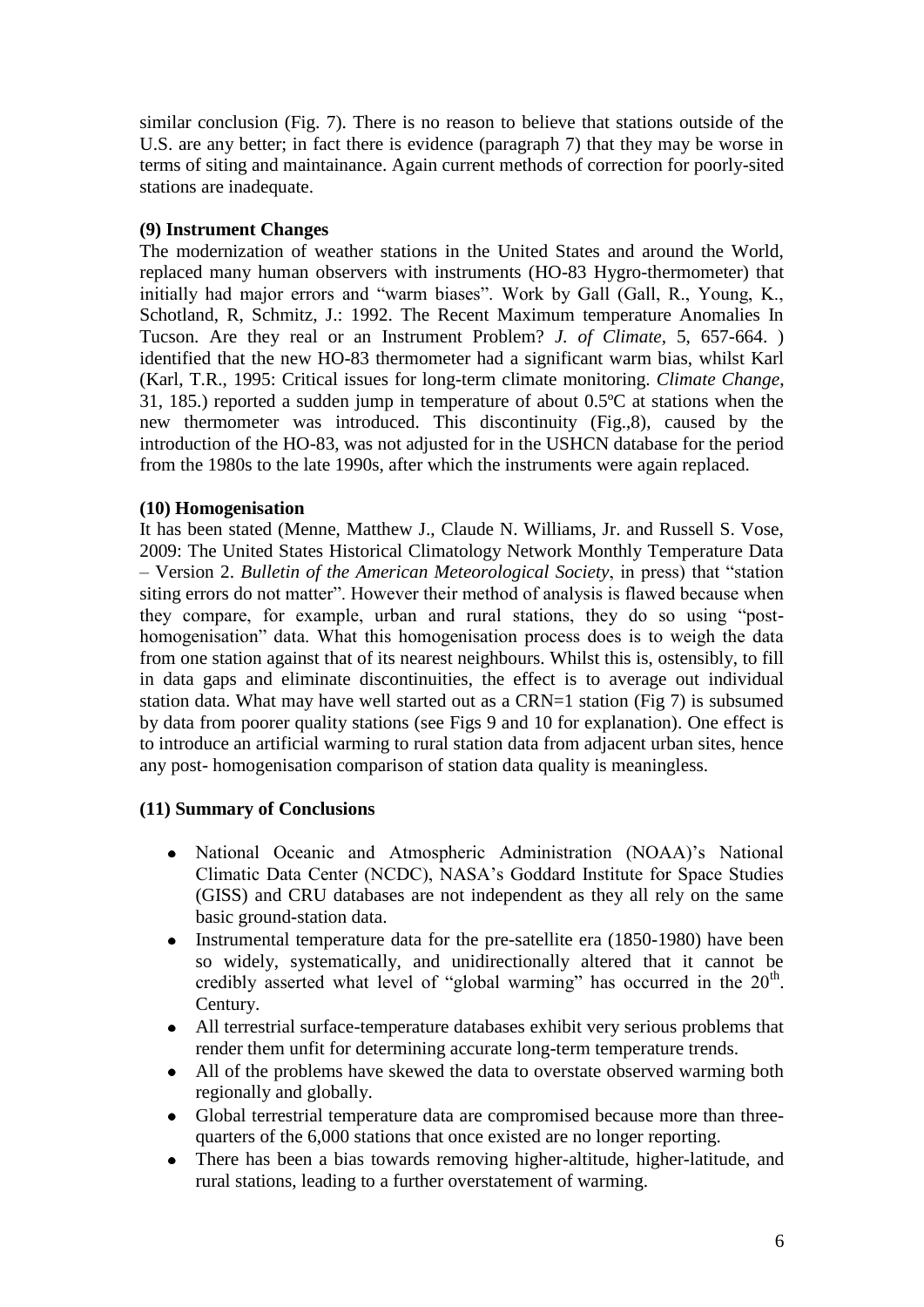similar conclusion (Fig. 7). There is no reason to believe that stations outside of the U.S. are any better; in fact there is evidence (paragraph 7) that they may be worse in terms of siting and maintainance. Again current methods of correction for poorly-sited stations are inadequate.

## **(9) Instrument Changes**

The modernization of weather stations in the United States and around the World, replaced many human observers with instruments (HO-83 Hygro-thermometer) that initially had major errors and "warm biases". Work by Gall (Gall, R., Young, K., Schotland, R, Schmitz, J.: 1992. The Recent Maximum temperature Anomalies In Tucson. Are they real or an Instrument Problem? *J. of Climate*, 5, 657-664. ) identified that the new HO-83 thermometer had a significant warm bias, whilst Karl (Karl, T.R., 1995: Critical issues for long-term climate monitoring. *Climate Change*, 31, 185.) reported a sudden jump in temperature of about 0.5ºC at stations when the new thermometer was introduced. This discontinuity (Fig.,8), caused by the introduction of the HO-83, was not adjusted for in the USHCN database for the period from the 1980s to the late 1990s, after which the instruments were again replaced.

## **(10) Homogenisation**

It has been stated (Menne, Matthew J., Claude N. Williams, Jr. and Russell S. Vose, 2009: The United States Historical Climatology Network Monthly Temperature Data – Version 2. *Bulletin of the American Meteorological Society*, in press) that "station siting errors do not matter". However their method of analysis is flawed because when they compare, for example, urban and rural stations, they do so using "posthomogenisation" data. What this homogenisation process does is to weigh the data from one station against that of its nearest neighbours. Whilst this is, ostensibly, to fill in data gaps and eliminate discontinuities, the effect is to average out individual station data. What may have well started out as a CRN=1 station (Fig 7) is subsumed by data from poorer quality stations (see Figs 9 and 10 for explanation). One effect is to introduce an artificial warming to rural station data from adjacent urban sites, hence any post- homogenisation comparison of station data quality is meaningless.

## **(11) Summary of Conclusions**

- National Oceanic and Atmospheric Administration (NOAA)'s National Climatic Data Center (NCDC), NASA's Goddard Institute for Space Studies (GISS) and CRU databases are not independent as they all rely on the same basic ground-station data.
- Instrumental temperature data for the pre-satellite era (1850-1980) have been  $\bullet$ so widely, systematically, and unidirectionally altered that it cannot be credibly asserted what level of "global warming" has occurred in the  $20<sup>th</sup>$ . Century.
- All terrestrial surface-temperature databases exhibit very serious problems that render them unfit for determining accurate long-term temperature trends.
- All of the problems have skewed the data to overstate observed warming both  $\bullet$ regionally and globally.
- $\bullet$ Global terrestrial temperature data are compromised because more than threequarters of the 6,000 stations that once existed are no longer reporting.
- $\bullet$ There has been a bias towards removing higher-altitude, higher-latitude, and rural stations, leading to a further overstatement of warming.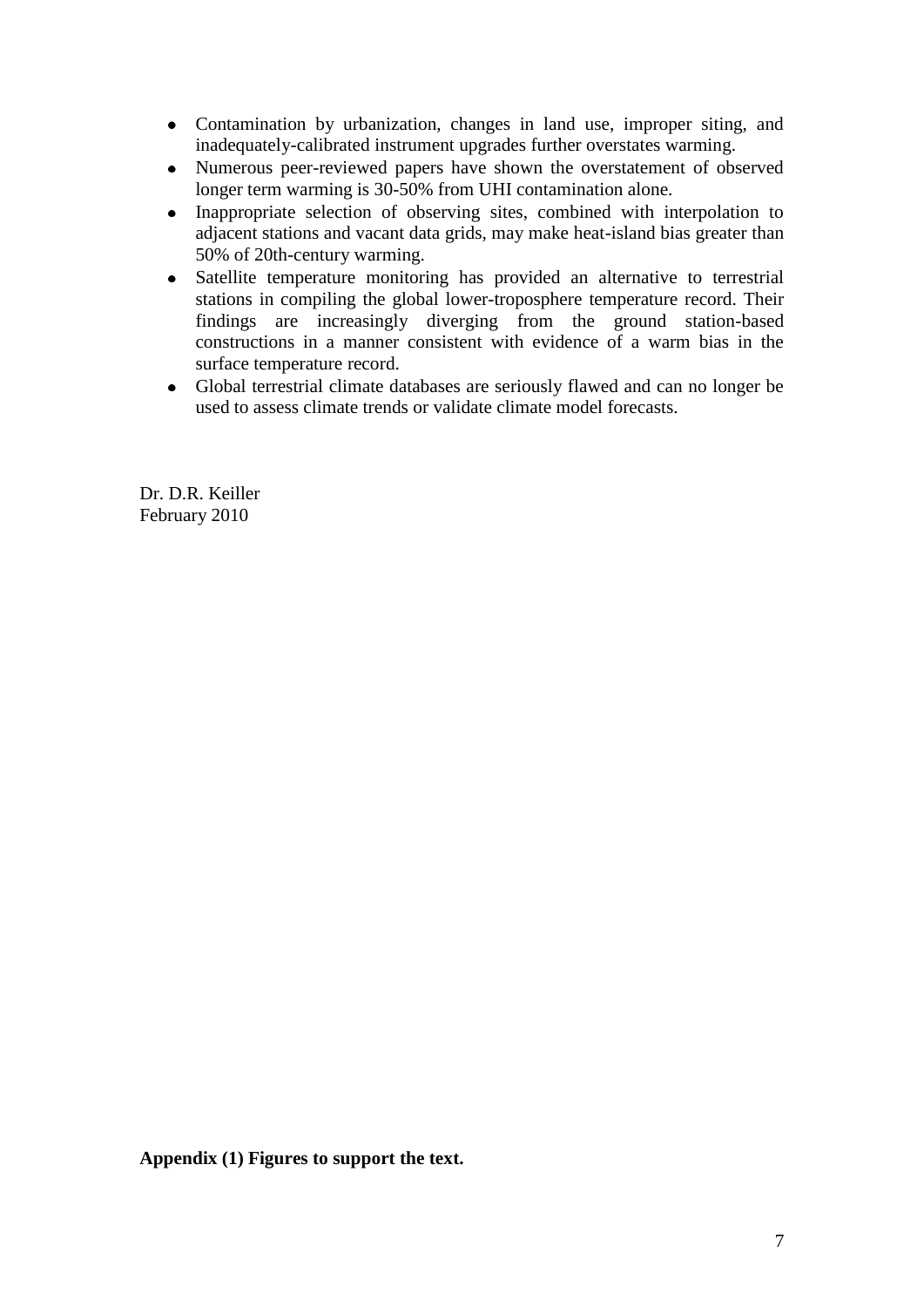- Contamination by urbanization, changes in land use, improper siting, and inadequately-calibrated instrument upgrades further overstates warming.
- Numerous peer-reviewed papers have shown the overstatement of observed  $\bullet$ longer term warming is 30-50% from UHI contamination alone.
- Inappropriate selection of observing sites, combined with interpolation to  $\bullet$ adjacent stations and vacant data grids, may make heat-island bias greater than 50% of 20th-century warming.
- Satellite temperature monitoring has provided an alternative to terrestrial stations in compiling the global lower-troposphere temperature record. Their findings are increasingly diverging from the ground station-based constructions in a manner consistent with evidence of a warm bias in the surface temperature record.
- Global terrestrial climate databases are seriously flawed and can no longer be used to assess climate trends or validate climate model forecasts.

Dr. D.R. Keiller February 2010

**Appendix (1) Figures to support the text.**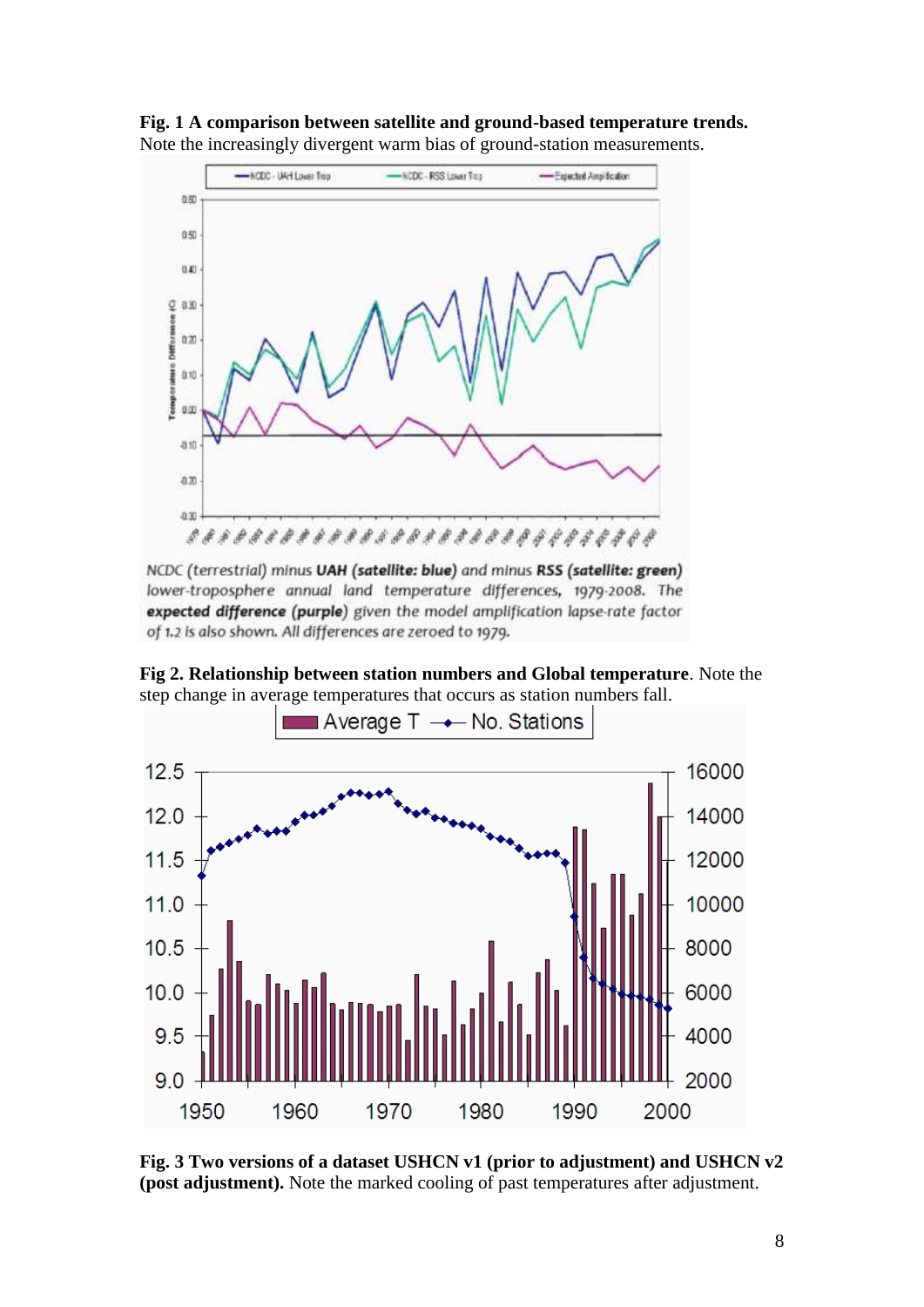**Fig. 1 A comparison between satellite and ground-based temperature trends.**  Note the increasingly divergent warm bias of ground-station measurements.



NCDC (terrestrial) minus UAH (satellite: blue) and minus RSS (satellite: green) lower-troposphere annual land temperature differences, 1979-2008. The expected difference (purple) given the model amplification lapse-rate factor of 1.2 is also shown. All differences are zeroed to 1979.

**Fig 2. Relationship between station numbers and Global temperature**. Note the step change in average temperatures that occurs as station numbers fall.



**Fig. 3 Two versions of a dataset USHCN v1 (prior to adjustment) and USHCN v2 (post adjustment).** Note the marked cooling of past temperatures after adjustment.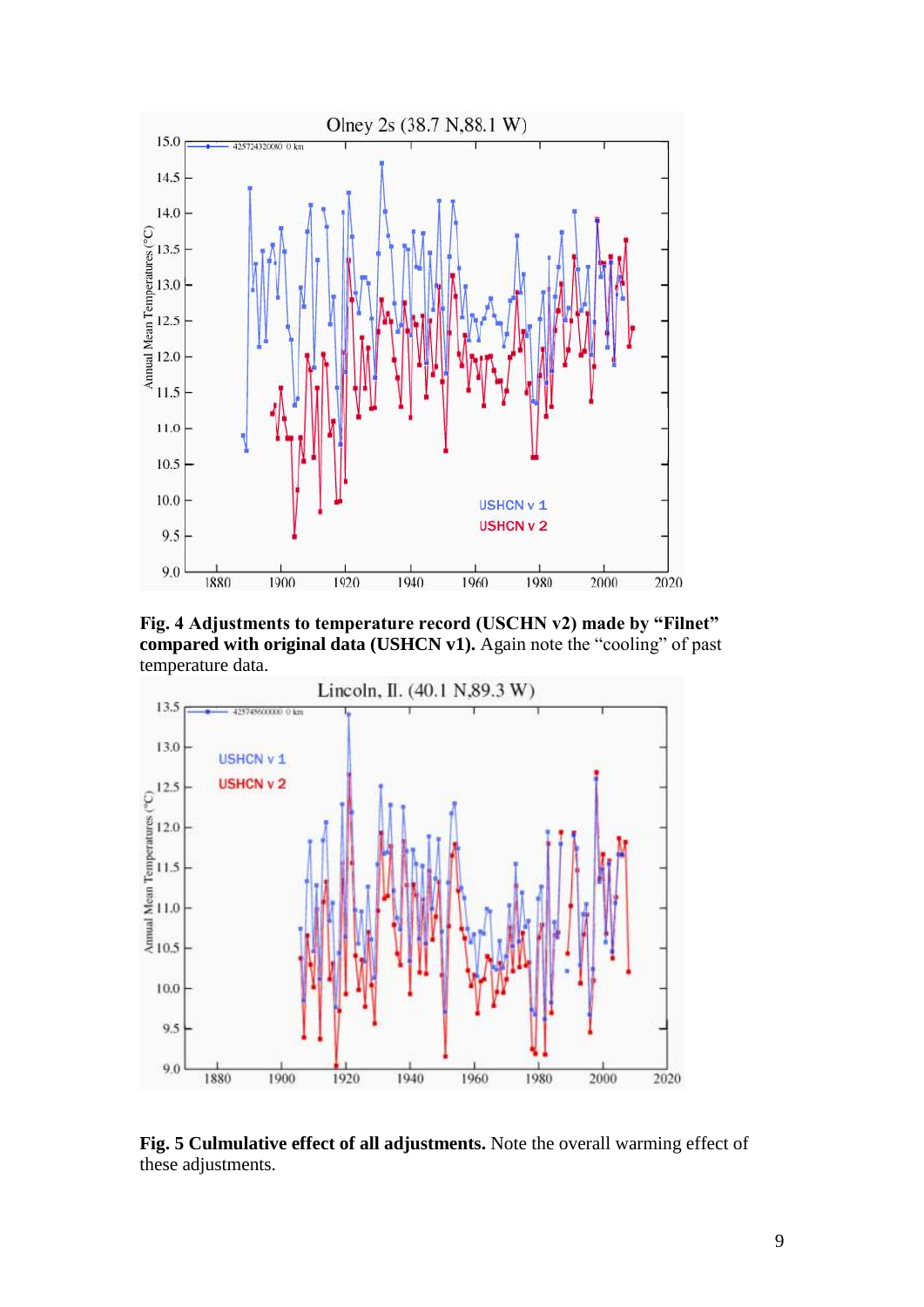

**Fig. 4 Adjustments to temperature record (USCHN v2) made by "Filnet" compared with original data (USHCN v1).** Again note the "cooling" of past temperature data.



**Fig. 5 Culmulative effect of all adjustments.** Note the overall warming effect of these adjustments.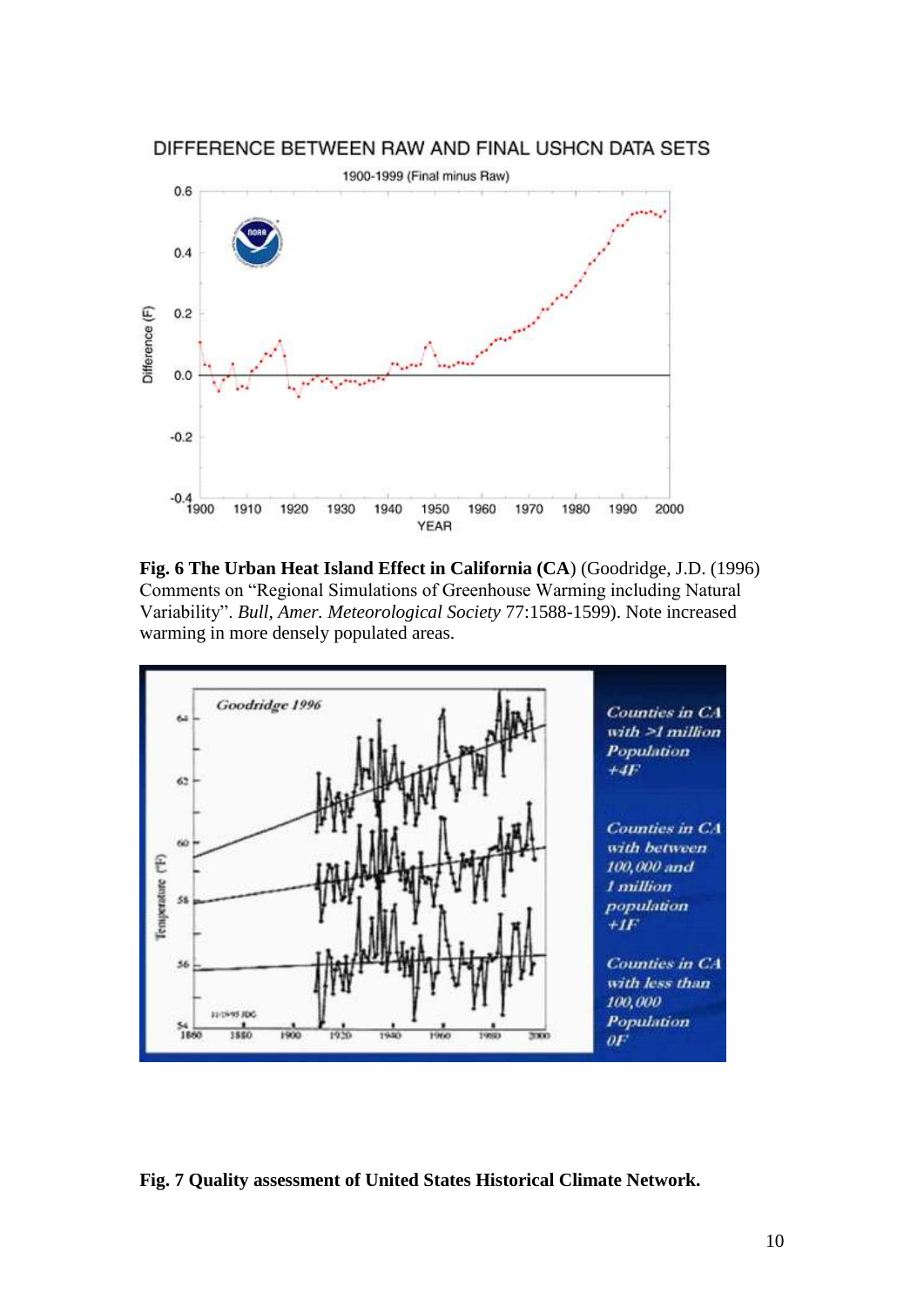



**Fig. 6 The Urban Heat Island Effect in California (CA**) (Goodridge, J.D. (1996) Comments on "Regional Simulations of Greenhouse Warming including Natural Variability". *Bull, Amer. Meteorological Society* 77:1588-1599). Note increased warming in more densely populated areas.



**Fig. 7 Quality assessment of United States Historical Climate Network.**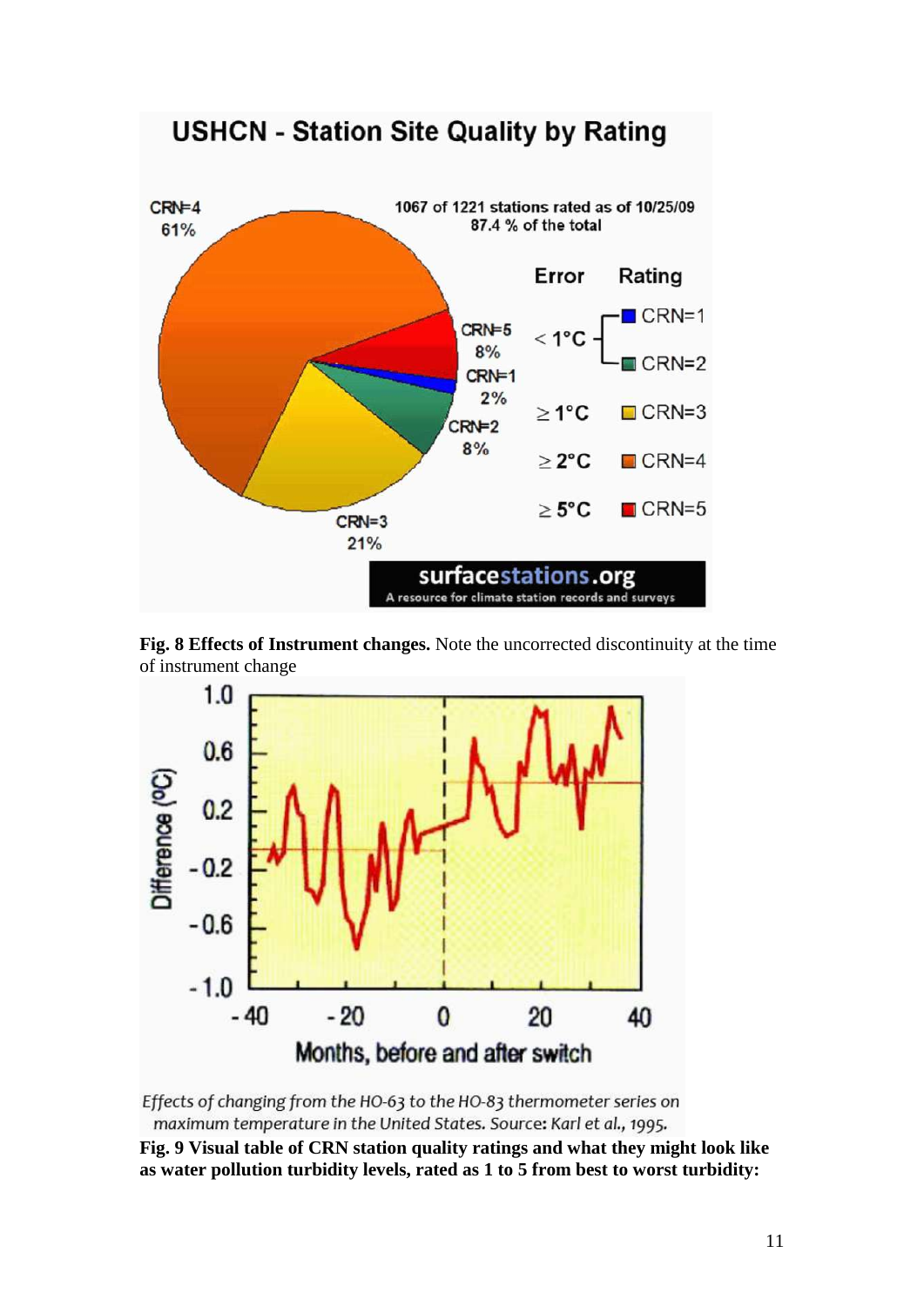





Effects of changing from the HO-63 to the HO-83 thermometer series on maximum temperature in the United States. Source: Karl et al., 1995.

**Fig. 9 Visual table of CRN station quality ratings and what they might look like as water pollution turbidity levels, rated as 1 to 5 from best to worst turbidity:**